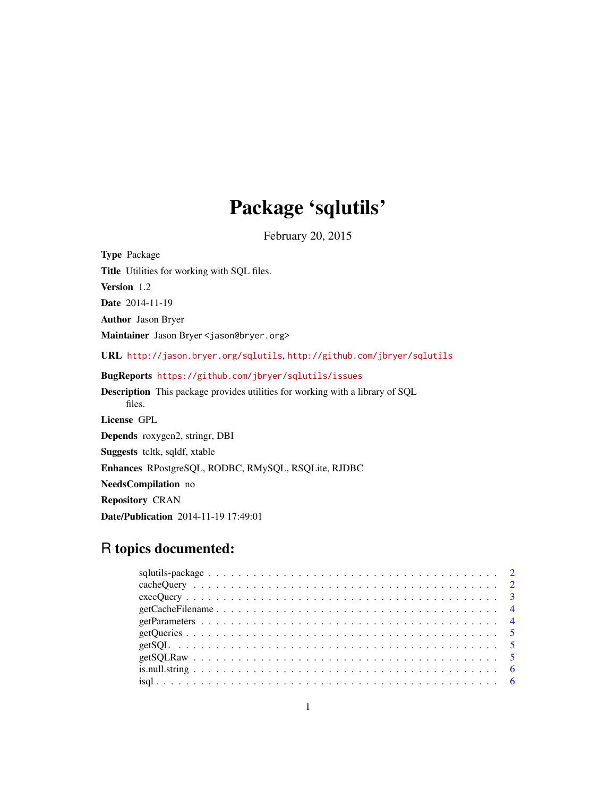# Package 'sqlutils'

February 20, 2015

<span id="page-0-0"></span>Type Package Title Utilities for working with SQL files. Version 1.2 Date 2014-11-19 Author Jason Bryer Maintainer Jason Bryer <jason@bryer.org> URL <http://jason.bryer.org/sqlutils>, <http://github.com/jbryer/sqlutils> BugReports <https://github.com/jbryer/sqlutils/issues> Description This package provides utilities for working with a library of SQL files. License GPL Depends roxygen2, stringr, DBI Suggests tcltk, sqldf, xtable Enhances RPostgreSQL, RODBC, RMySQL, RSQLite, RJDBC NeedsCompilation no Repository CRAN Date/Publication 2014-11-19 17:49:01

# R topics documented: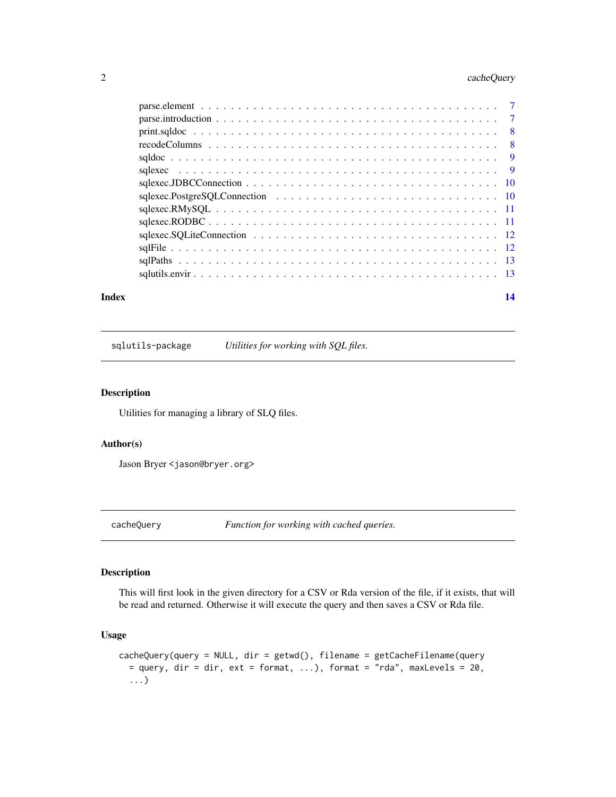# <span id="page-1-0"></span>2 cacheQuery

| Index | 14 |
|-------|----|

sqlutils-package *Utilities for working with SQL files.*

#### Description

Utilities for managing a library of SLQ files.

#### Author(s)

Jason Bryer <jason@bryer.org>

cacheQuery *Function for working with cached queries.*

#### Description

This will first look in the given directory for a CSV or Rda version of the file, if it exists, that will be read and returned. Otherwise it will execute the query and then saves a CSV or Rda file.

#### Usage

```
cacheQuery(query = NULL, dir = getwd(), filename = getCacheFilename(query
  = query, dir = dir, ext = format, ...), format = "rda", maxLevels = 20,
  ...)
```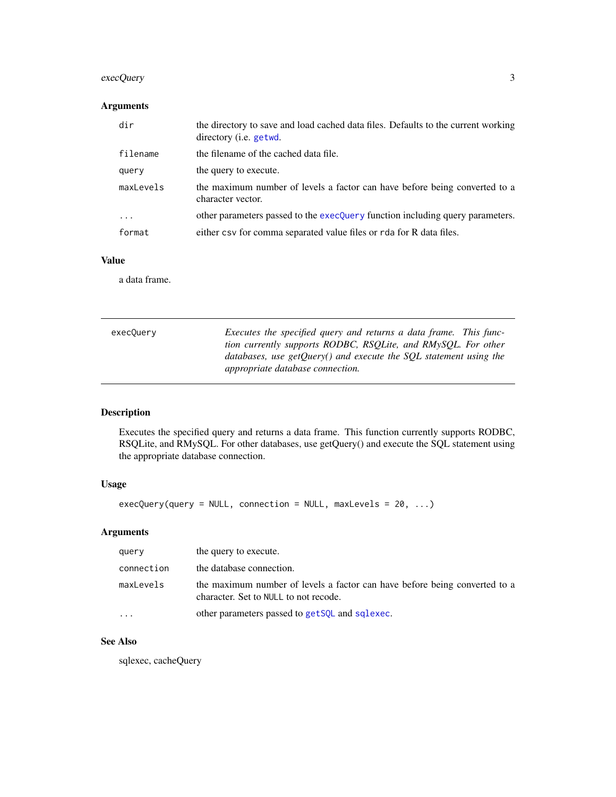# <span id="page-2-0"></span>execQuery 3

# Arguments

| dir       | the directory to save and load cached data files. Defaults to the current working<br>directory ( <i>i.e.</i> getwd. |
|-----------|---------------------------------------------------------------------------------------------------------------------|
| filename  | the filename of the cached data file.                                                                               |
| query     | the query to execute.                                                                                               |
| maxLevels | the maximum number of levels a factor can have before being converted to a<br>character vector.                     |
| .         | other parameters passed to the execQuery function including query parameters.                                       |
| format    | either csv for comma separated value files or rda for R data files.                                                 |

# Value

a data frame.

<span id="page-2-1"></span>

| Executes the specified query and returns a data frame. This func-   |
|---------------------------------------------------------------------|
| tion currently supports RODBC, RSQLite, and RMySQL. For other       |
| databases, use getQuery() and execute the $SQL$ statement using the |
| <i>appropriate database connection.</i>                             |
|                                                                     |

# Description

Executes the specified query and returns a data frame. This function currently supports RODBC, RSQLite, and RMySQL. For other databases, use getQuery() and execute the SQL statement using the appropriate database connection.

## Usage

```
execQuery(query = NULL, connection = NULL, maxlevels = 20, ...)
```
# Arguments

| query      | the query to execute.                                                                                               |
|------------|---------------------------------------------------------------------------------------------------------------------|
| connection | the database connection.                                                                                            |
| maxLevels  | the maximum number of levels a factor can have before being converted to a<br>character. Set to NULL to not recode. |
| $\cdots$   | other parameters passed to get SQL and sqlexec.                                                                     |

#### See Also

sqlexec, cacheQuery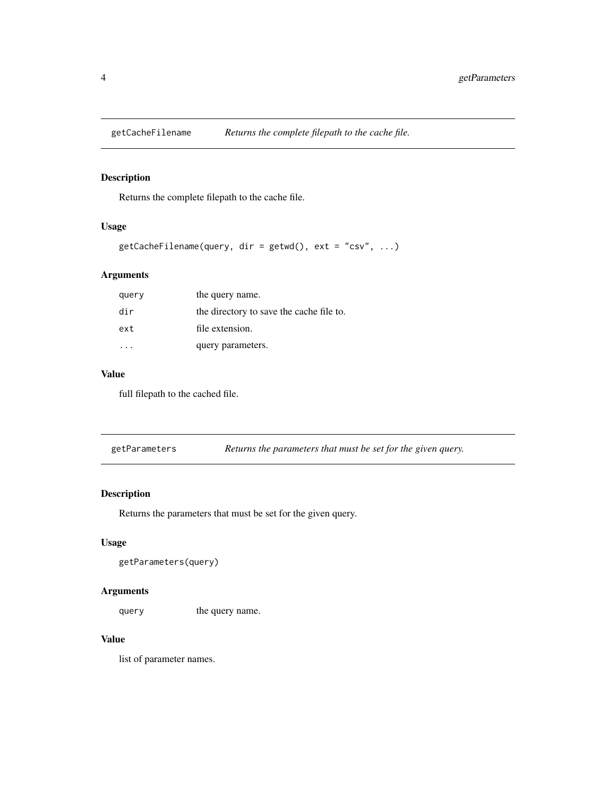<span id="page-3-0"></span>

Returns the complete filepath to the cache file.

# Usage

```
getCacheFilename(query, dir = getwd(), ext = "csv", ...)
```
# Arguments

| query | the query name.                          |
|-------|------------------------------------------|
| dir   | the directory to save the cache file to. |
| ext   | file extension.                          |
|       | query parameters.                        |

#### Value

full filepath to the cached file.

getParameters *Returns the parameters that must be set for the given query.*

#### Description

Returns the parameters that must be set for the given query.

#### Usage

```
getParameters(query)
```
#### Arguments

query the query name.

#### Value

list of parameter names.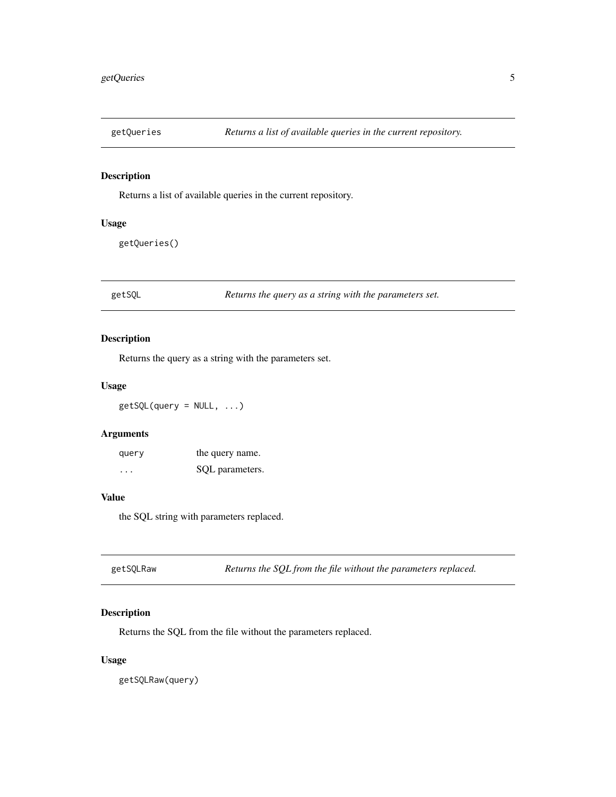<span id="page-4-0"></span>

Returns a list of available queries in the current repository.

#### Usage

getQueries()

<span id="page-4-1"></span>getSQL *Returns the query as a string with the parameters set.*

#### Description

Returns the query as a string with the parameters set.

#### Usage

 $getSQL$ (query = NULL, ...)

#### Arguments

| query    | the query name. |
|----------|-----------------|
| $\cdots$ | SQL parameters. |

#### Value

the SQL string with parameters replaced.

| getSQLRaw | Returns the SQL from the file without the parameters replaced. |  |
|-----------|----------------------------------------------------------------|--|
|-----------|----------------------------------------------------------------|--|

#### Description

Returns the SQL from the file without the parameters replaced.

#### Usage

getSQLRaw(query)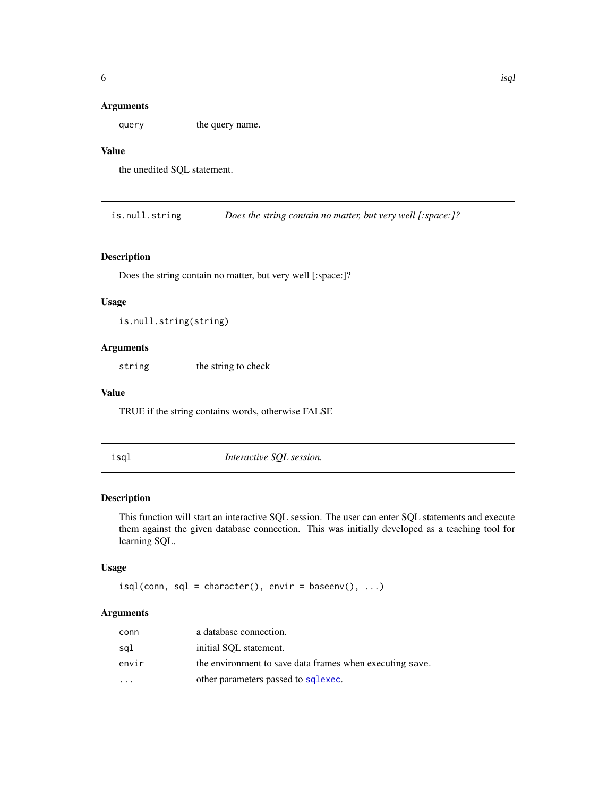#### <span id="page-5-0"></span>Arguments

query the query name.

## Value

the unedited SQL statement.

is.null.string *Does the string contain no matter, but very well [:space:]?*

#### Description

Does the string contain no matter, but very well [:space:]?

#### Usage

is.null.string(string)

#### Arguments

string the string to check

#### Value

TRUE if the string contains words, otherwise FALSE

isql *Interactive SQL session.*

#### Description

This function will start an interactive SQL session. The user can enter SQL statements and execute them against the given database connection. This was initially developed as a teaching tool for learning SQL.

#### Usage

 $isql(conn, sql = character(), envir = baseenv(), ...)$ 

| conn      | a database connection.                                   |
|-----------|----------------------------------------------------------|
| sal       | initial SOL statement.                                   |
| envir     | the environment to save data frames when executing save. |
| $\ddotsc$ | other parameters passed to sqlexec.                      |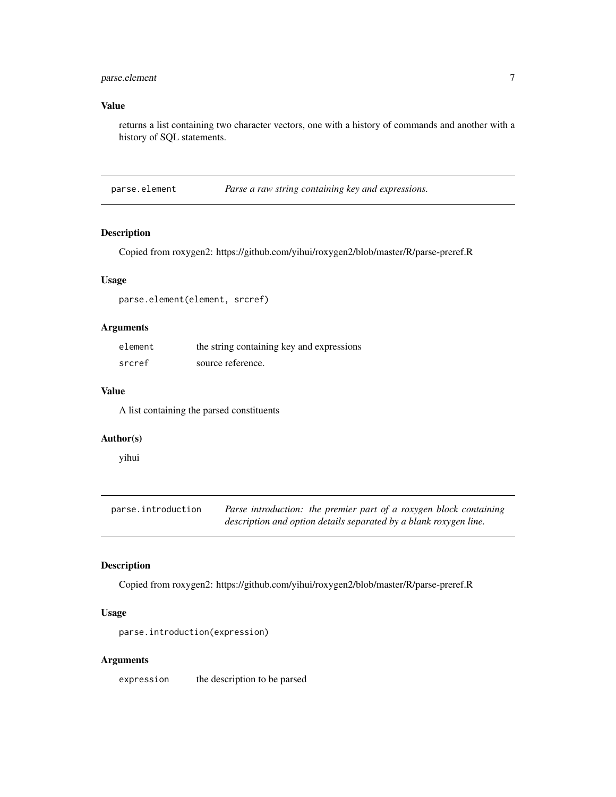#### <span id="page-6-0"></span>parse.element 7

# Value

returns a list containing two character vectors, one with a history of commands and another with a history of SQL statements.

parse.element *Parse a raw string containing key and expressions.*

#### Description

Copied from roxygen2: https://github.com/yihui/roxygen2/blob/master/R/parse-preref.R

#### Usage

parse.element(element, srcref)

# Arguments

| element | the string containing key and expressions |
|---------|-------------------------------------------|
| srcref  | source reference.                         |

#### Value

A list containing the parsed constituents

#### Author(s)

yihui

| parse.introduction | Parse introduction: the premier part of a roxygen block containing |
|--------------------|--------------------------------------------------------------------|
|                    | description and option details separated by a blank roxygen line.  |

#### Description

Copied from roxygen2: https://github.com/yihui/roxygen2/blob/master/R/parse-preref.R

#### Usage

parse.introduction(expression)

#### Arguments

expression the description to be parsed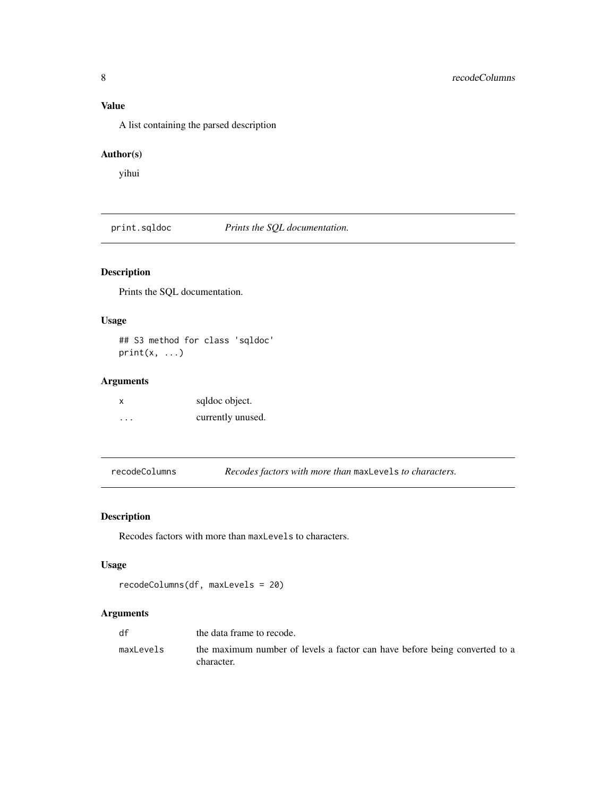# <span id="page-7-0"></span>Value

A list containing the parsed description

#### Author(s)

yihui

print.sqldoc *Prints the SQL documentation.*

# Description

Prints the SQL documentation.

#### Usage

## S3 method for class 'sqldoc'  $print(x, \ldots)$ 

#### Arguments

| x                    | sqldoc object.    |
|----------------------|-------------------|
| $\ddot{\phantom{0}}$ | currently unused. |

recodeColumns *Recodes factors with more than* maxLevels *to characters.*

# Description

Recodes factors with more than maxLevels to characters.

#### Usage

```
recodeColumns(df, maxLevels = 20)
```

| df        | the data frame to recode.                                                                |
|-----------|------------------------------------------------------------------------------------------|
| maxLevels | the maximum number of levels a factor can have before being converted to a<br>character. |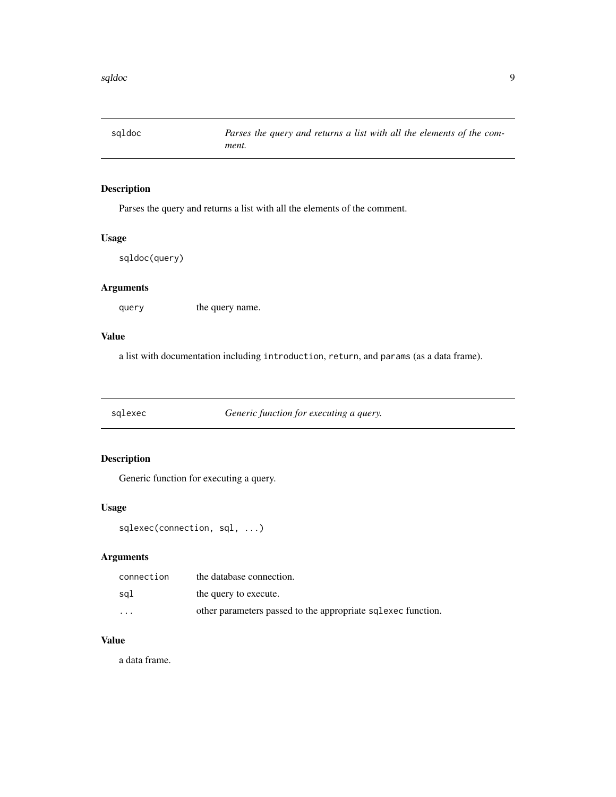<span id="page-8-0"></span>

Parses the query and returns a list with all the elements of the comment.

#### Usage

sqldoc(query)

## Arguments

query the query name.

#### Value

a list with documentation including introduction, return, and params (as a data frame).

<span id="page-8-1"></span>sqlexec *Generic function for executing a query.*

#### Description

Generic function for executing a query.

#### Usage

```
sqlexec(connection, sql, ...)
```
# Arguments

| connection | the database connection.                                     |
|------------|--------------------------------------------------------------|
| sal        | the query to execute.                                        |
| $\cdots$   | other parameters passed to the appropriate sqlexec function. |

#### Value

a data frame.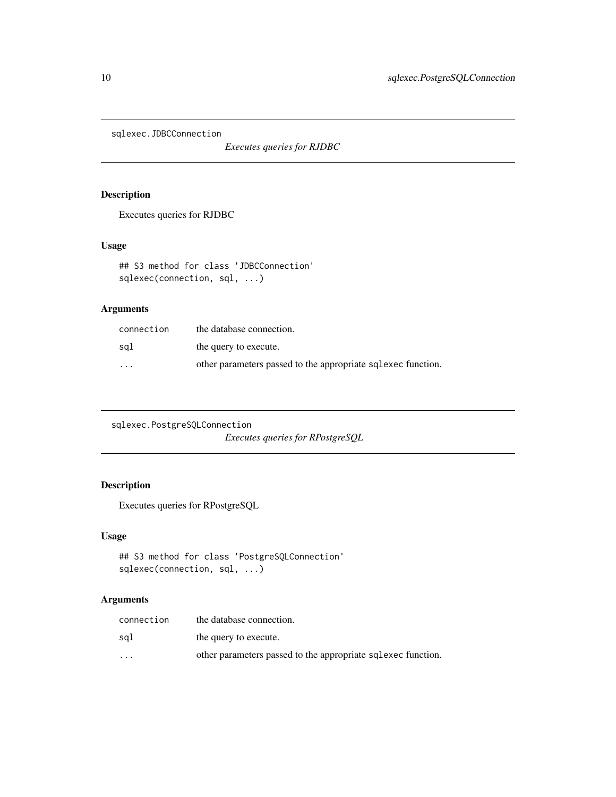<span id="page-9-0"></span>sqlexec.JDBCConnection

*Executes queries for RJDBC*

# Description

Executes queries for RJDBC

#### Usage

```
## S3 method for class 'JDBCConnection'
sqlexec(connection, sql, ...)
```
#### Arguments

| connection | the database connection.                                     |
|------------|--------------------------------------------------------------|
| sal        | the query to execute.                                        |
| $\cdot$    | other parameters passed to the appropriate sqlexec function. |

sqlexec.PostgreSQLConnection *Executes queries for RPostgreSQL*

# Description

Executes queries for RPostgreSQL

#### Usage

```
## S3 method for class 'PostgreSQLConnection'
sqlexec(connection, sql, ...)
```

| connection | the database connection.                                     |
|------------|--------------------------------------------------------------|
| sal        | the query to execute.                                        |
| $\cdot$    | other parameters passed to the appropriate sqlexec function. |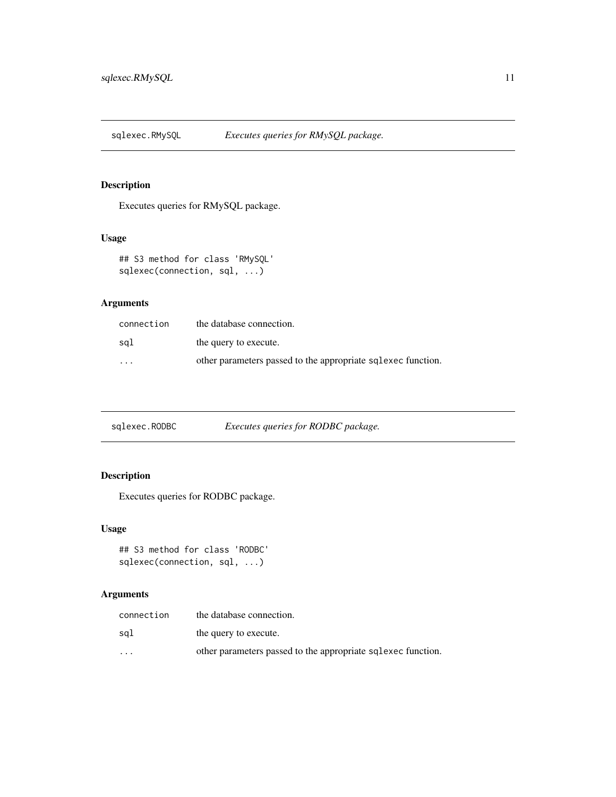<span id="page-10-0"></span>

Executes queries for RMySQL package.

# Usage

```
## S3 method for class 'RMySQL'
sqlexec(connection, sql, ...)
```
#### Arguments

| connection              | the database connection.                                     |
|-------------------------|--------------------------------------------------------------|
| sgl                     | the query to execute.                                        |
| $\cdot$ $\cdot$ $\cdot$ | other parameters passed to the appropriate sqlexec function. |

sqlexec.RODBC *Executes queries for RODBC package.*

# Description

Executes queries for RODBC package.

#### Usage

```
## S3 method for class 'RODBC'
sqlexec(connection, sql, ...)
```

| connection | the database connection.                                     |
|------------|--------------------------------------------------------------|
| sal        | the query to execute.                                        |
| $\cdot$    | other parameters passed to the appropriate sqlexec function. |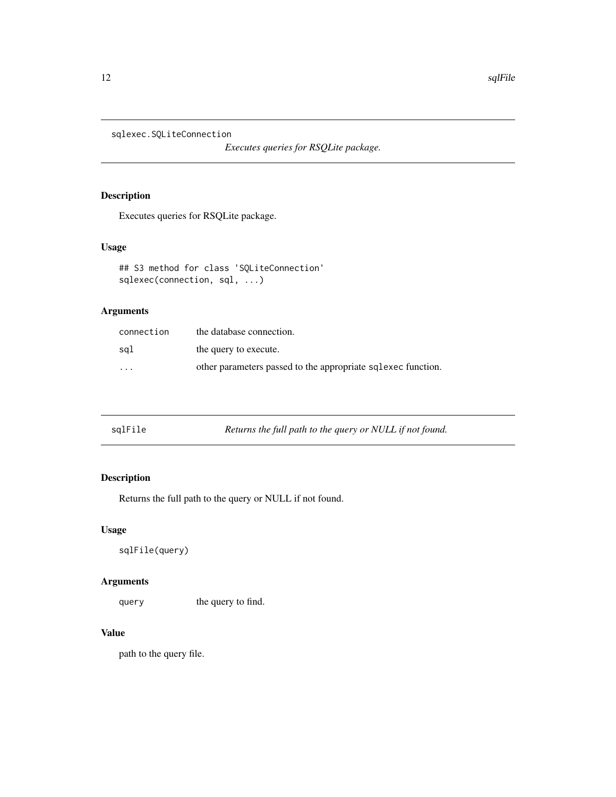<span id="page-11-0"></span>sqlexec.SQLiteConnection

*Executes queries for RSQLite package.*

# Description

Executes queries for RSQLite package.

## Usage

```
## S3 method for class 'SQLiteConnection'
sqlexec(connection, sql, ...)
```
# Arguments

| connection              | the database connection.                                     |
|-------------------------|--------------------------------------------------------------|
| sal                     | the query to execute.                                        |
| $\cdot$ $\cdot$ $\cdot$ | other parameters passed to the appropriate sqlexec function. |

| sqlFile<br>Returns the full path to the query or NULL if not found. |  |
|---------------------------------------------------------------------|--|
|---------------------------------------------------------------------|--|

# Description

Returns the full path to the query or NULL if not found.

#### Usage

```
sqlFile(query)
```
#### Arguments

query the query to find.

# Value

path to the query file.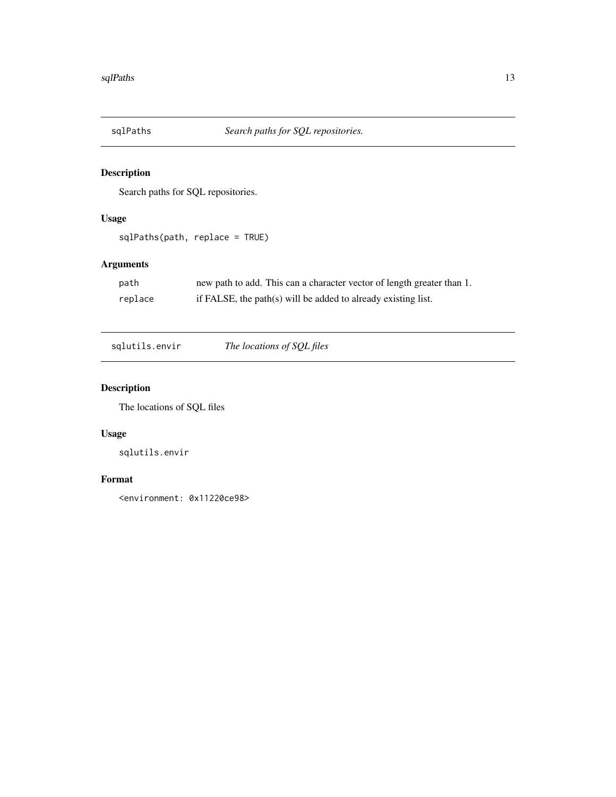<span id="page-12-0"></span>

Search paths for SQL repositories.

## Usage

```
sqlPaths(path, replace = TRUE)
```
# Arguments

| path    | new path to add. This can a character vector of length greater than 1. |
|---------|------------------------------------------------------------------------|
| replace | if FALSE, the path(s) will be added to already existing list.          |

sqlutils.envir *The locations of SQL files*

# Description

The locations of SQL files

# Usage

sqlutils.envir

#### Format

<environment: 0x11220ce98>